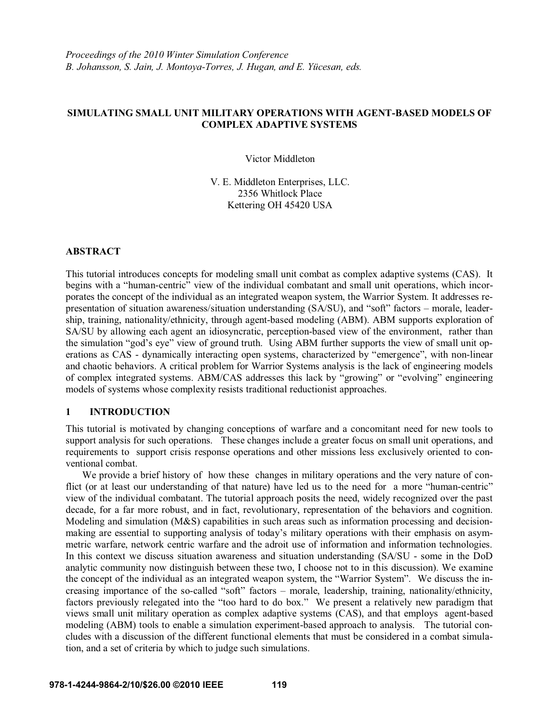## **SIMULATING SMALL UNIT MILITARY OPERATIONS WITH AGENT-BASED MODELS OF COMPLEX ADAPTIVE SYSTEMS**

Victor Middleton

V. E. Middleton Enterprises, LLC. 2356 Whitlock Place Kettering OH 45420 USA

## **ABSTRACT**

This tutorial introduces concepts for modeling small unit combat as complex adaptive systems (CAS). It begins with a "human-centric" view of the individual combatant and small unit operations, which incorporates the concept of the individual as an integrated weapon system, the Warrior System. It addresses representation of situation awareness/situation understanding (SA/SU), and "soft" factors – morale, leadership, training, nationality/ethnicity, through agent-based modeling (ABM). ABM supports exploration of SA/SU by allowing each agent an idiosyncratic, perception-based view of the environment, rather than the simulation "god's eye" view of ground truth. Using ABM further supports the view of small unit operations as CAS - dynamically interacting open systems, characterized by "emergence", with non-linear and chaotic behaviors. A critical problem for Warrior Systems analysis is the lack of engineering models of complex integrated systems. ABM/CAS addresses this lack by "growing" or "evolving" engineering models of systems whose complexity resists traditional reductionist approaches.

## **1 INTRODUCTION**

This tutorial is motivated by changing conceptions of warfare and a concomitant need for new tools to support analysis for such operations. These changes include a greater focus on small unit operations, and requirements to support crisis response operations and other missions less exclusively oriented to conventional combat.

We provide a brief history of how these changes in military operations and the very nature of conflict (or at least our understanding of that nature) have led us to the need for a more "human-centric" view of the individual combatant. The tutorial approach posits the need, widely recognized over the past decade, for a far more robust, and in fact, revolutionary, representation of the behaviors and cognition. Modeling and simulation (M&S) capabilities in such areas such as information processing and decisionmaking are essential to supporting analysis of today's military operations with their emphasis on asymmetric warfare, network centric warfare and the adroit use of information and information technologies. In this context we discuss situation awareness and situation understanding (SA/SU - some in the DoD analytic community now distinguish between these two, I choose not to in this discussion). We examine the concept of the individual as an integrated weapon system, the "Warrior System". We discuss the increasing importance of the so-called "soft" factors - morale, leadership, training, nationality/ethnicity, factors previously relegated into the "too hard to do box." We present a relatively new paradigm that views small unit military operation as complex adaptive systems (CAS), and that employs agent-based modeling (ABM) tools to enable a simulation experiment-based approach to analysis. The tutorial concludes with a discussion of the different functional elements that must be considered in a combat simulation, and a set of criteria by which to judge such simulations.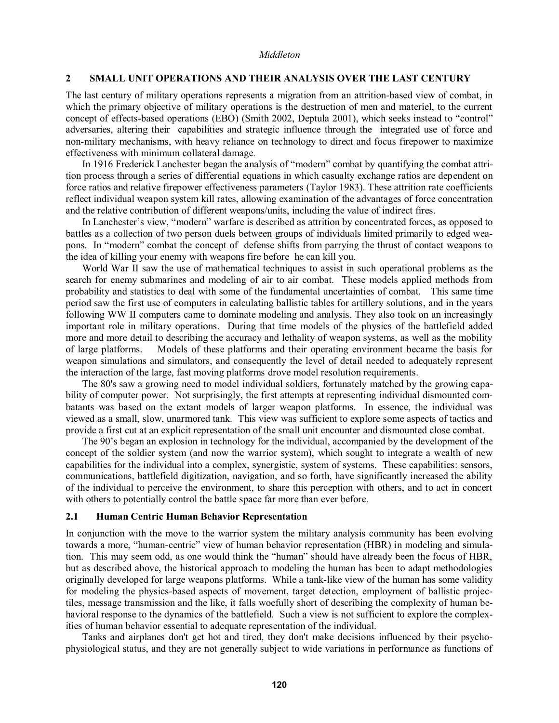## **2 SMALL UNIT OPERATIONS AND THEIR ANALYSIS OVER THE LAST CENTURY**

The last century of military operations represents a migration from an attrition-based view of combat, in which the primary objective of military operations is the destruction of men and materiel, to the current concept of effects-based operations (EBO) (Smith 2002, Deptula 2001), which seeks instead to "control" adversaries, altering their capabilities and strategic influence through the integrated use of force and non-military mechanisms, with heavy reliance on technology to direct and focus firepower to maximize effectiveness with minimum collateral damage.

In 1916 Frederick Lanchester began the analysis of "modern" combat by quantifying the combat attrition process through a series of differential equations in which casualty exchange ratios are dependent on force ratios and relative firepower effectiveness parameters (Taylor 1983). These attrition rate coefficients reflect individual weapon system kill rates, allowing examination of the advantages of force concentration and the relative contribution of different weapons/units, including the value of indirect fires.

In Lanchester's view, "modern" warfare is described as attrition by concentrated forces, as opposed to battles as a collection of two person duels between groups of individuals limited primarily to edged weapons. In "modern" combat the concept of defense shifts from parrying the thrust of contact weapons to the idea of killing your enemy with weapons fire before he can kill you.

World War II saw the use of mathematical techniques to assist in such operational problems as the search for enemy submarines and modeling of air to air combat. These models applied methods from probability and statistics to deal with some of the fundamental uncertainties of combat. This same time period saw the first use of computers in calculating ballistic tables for artillery solutions, and in the years following WW II computers came to dominate modeling and analysis. They also took on an increasingly important role in military operations. During that time models of the physics of the battlefield added more and more detail to describing the accuracy and lethality of weapon systems, as well as the mobility of large platforms. Models of these platforms and their operating environment became the basis for weapon simulations and simulators, and consequently the level of detail needed to adequately represent the interaction of the large, fast moving platforms drove model resolution requirements.

The 80's saw a growing need to model individual soldiers, fortunately matched by the growing capability of computer power. Not surprisingly, the first attempts at representing individual dismounted combatants was based on the extant models of larger weapon platforms. In essence, the individual was viewed as a small, slow, unarmored tank. This view was sufficient to explore some aspects of tactics and provide a first cut at an explicit representation of the small unit encounter and dismounted close combat.

The 90's began an explosion in technology for the individual, accompanied by the development of the concept of the soldier system (and now the warrior system), which sought to integrate a wealth of new capabilities for the individual into a complex, synergistic, system of systems. These capabilities: sensors, communications, battlefield digitization, navigation, and so forth, have significantly increased the ability of the individual to perceive the environment, to share this perception with others, and to act in concert with others to potentially control the battle space far more than ever before.

## **2.1 Human Centric Human Behavior Representation**

In conjunction with the move to the warrior system the military analysis community has been evolving towards a more, "human-centric" view of human behavior representation (HBR) in modeling and simulation. This may seem odd, as one would think the "human" should have already been the focus of HBR, but as described above, the historical approach to modeling the human has been to adapt methodologies originally developed for large weapons platforms. While a tank-like view of the human has some validity for modeling the physics-based aspects of movement, target detection, employment of ballistic projectiles, message transmission and the like, it falls woefully short of describing the complexity of human behavioral response to the dynamics of the battlefield. Such a view is not sufficient to explore the complexities of human behavior essential to adequate representation of the individual.

 Tanks and airplanes don't get hot and tired, they don't make decisions influenced by their psychophysiological status, and they are not generally subject to wide variations in performance as functions of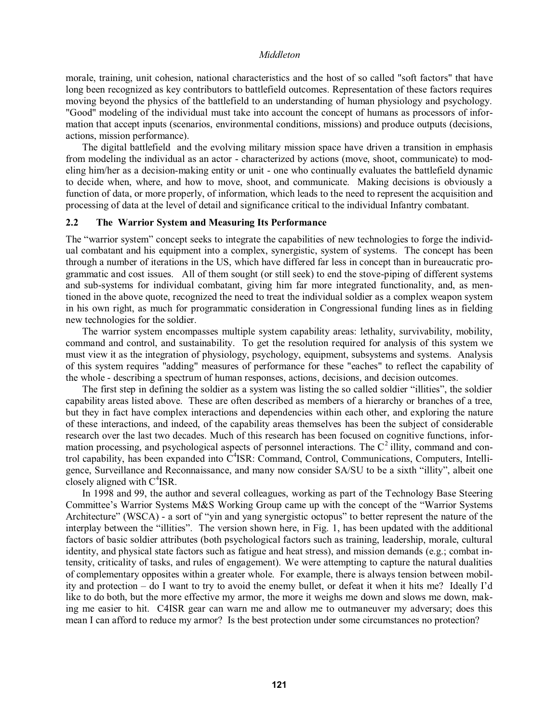morale, training, unit cohesion, national characteristics and the host of so called "soft factors" that have long been recognized as key contributors to battlefield outcomes. Representation of these factors requires moving beyond the physics of the battlefield to an understanding of human physiology and psychology. "Good" modeling of the individual must take into account the concept of humans as processors of information that accept inputs (scenarios, environmental conditions, missions) and produce outputs (decisions, actions, mission performance).

The digital battlefield and the evolving military mission space have driven a transition in emphasis from modeling the individual as an actor - characterized by actions (move, shoot, communicate) to modeling him/her as a decision-making entity or unit - one who continually evaluates the battlefield dynamic to decide when, where, and how to move, shoot, and communicate. Making decisions is obviously a function of data, or more properly, of information, which leads to the need to represent the acquisition and processing of data at the level of detail and significance critical to the individual Infantry combatant.

### **2.2 The Warrior System and Measuring Its Performance**

The "warrior system" concept seeks to integrate the capabilities of new technologies to forge the individual combatant and his equipment into a complex, synergistic, system of systems. The concept has been through a number of iterations in the US, which have differed far less in concept than in bureaucratic programmatic and cost issues. All of them sought (or still seek) to end the stove-piping of different systems and sub-systems for individual combatant, giving him far more integrated functionality, and, as mentioned in the above quote, recognized the need to treat the individual soldier as a complex weapon system in his own right, as much for programmatic consideration in Congressional funding lines as in fielding new technologies for the soldier.

 The warrior system encompasses multiple system capability areas: lethality, survivability, mobility, command and control, and sustainability. To get the resolution required for analysis of this system we must view it as the integration of physiology, psychology, equipment, subsystems and systems. Analysis of this system requires "adding" measures of performance for these "eaches" to reflect the capability of the whole - describing a spectrum of human responses, actions, decisions, and decision outcomes.

The first step in defining the soldier as a system was listing the so called soldier "illities", the soldier capability areas listed above. These are often described as members of a hierarchy or branches of a tree, but they in fact have complex interactions and dependencies within each other, and exploring the nature of these interactions, and indeed, of the capability areas themselves has been the subject of considerable research over the last two decades. Much of this research has been focused on cognitive functions, information processing, and psychological aspects of personnel interactions. The  $C<sup>2</sup>$  illity, command and control capability, has been expanded into C<sup>4</sup>ISR: Command, Control, Communications, Computers, Intelligence, Surveillance and Reconnaissance, and many now consider SA/SU to be a sixth "illity", albeit one closely aligned with  $C^4$ ISR.

In 1998 and 99, the author and several colleagues, working as part of the Technology Base Steering Committee's Warrior Systems M&S Working Group came up with the concept of the "Warrior Systems Architecture" (WSCA) - a sort of "yin and yang synergistic octopus" to better represent the nature of the interplay between the "illities". The version shown here, in Fig. 1, has been updated with the additional factors of basic soldier attributes (both psychological factors such as training, leadership, morale, cultural identity, and physical state factors such as fatigue and heat stress), and mission demands (e.g.; combat intensity, criticality of tasks, and rules of engagement). We were attempting to capture the natural dualities of complementary opposites within a greater whole. For example, there is always tension between mobility and protection  $-$  do I want to try to avoid the enemy bullet, or defeat it when it hits me? Ideally I'd like to do both, but the more effective my armor, the more it weighs me down and slows me down, making me easier to hit. C4ISR gear can warn me and allow me to outmaneuver my adversary; does this mean I can afford to reduce my armor? Is the best protection under some circumstances no protection?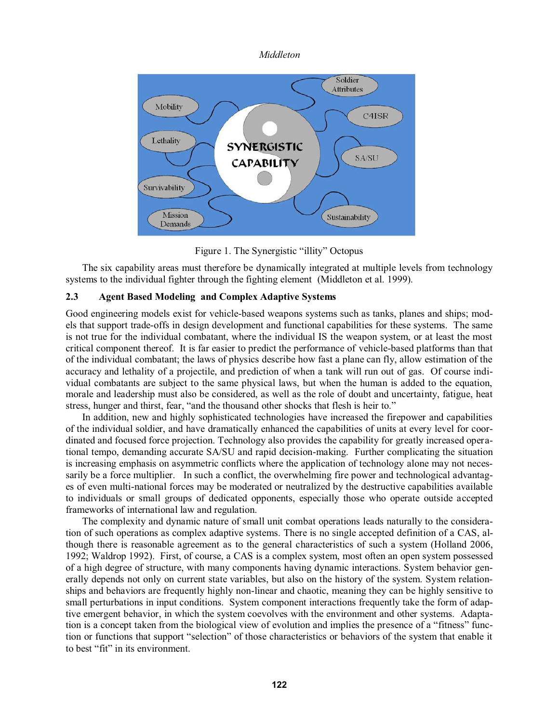

Figure 1. The Synergistic "illity" Octopus

The six capability areas must therefore be dynamically integrated at multiple levels from technology systems to the individual fighter through the fighting element (Middleton et al. 1999).

## **2.3 Agent Based Modeling and Complex Adaptive Systems**

Good engineering models exist for vehicle-based weapons systems such as tanks, planes and ships; models that support trade-offs in design development and functional capabilities for these systems. The same is not true for the individual combatant, where the individual IS the weapon system, or at least the most critical component thereof. It is far easier to predict the performance of vehicle-based platforms than that of the individual combatant; the laws of physics describe how fast a plane can fly, allow estimation of the accuracy and lethality of a projectile, and prediction of when a tank will run out of gas. Of course individual combatants are subject to the same physical laws, but when the human is added to the equation, morale and leadership must also be considered, as well as the role of doubt and uncertainty, fatigue, heat stress, hunger and thirst, fear, "and the thousand other shocks that flesh is heir to."

In addition, new and highly sophisticated technologies have increased the firepower and capabilities of the individual soldier, and have dramatically enhanced the capabilities of units at every level for coordinated and focused force projection. Technology also provides the capability for greatly increased operational tempo, demanding accurate SA/SU and rapid decision-making. Further complicating the situation is increasing emphasis on asymmetric conflicts where the application of technology alone may not necessarily be a force multiplier. In such a conflict, the overwhelming fire power and technological advantages of even multi-national forces may be moderated or neutralized by the destructive capabilities available to individuals or small groups of dedicated opponents, especially those who operate outside accepted frameworks of international law and regulation.

The complexity and dynamic nature of small unit combat operations leads naturally to the consideration of such operations as complex adaptive systems. There is no single accepted definition of a CAS, although there is reasonable agreement as to the general characteristics of such a system (Holland 2006, 1992; Waldrop 1992). First, of course, a CAS is a complex system, most often an open system possessed of a high degree of structure, with many components having dynamic interactions. System behavior generally depends not only on current state variables, but also on the history of the system. System relationships and behaviors are frequently highly non-linear and chaotic, meaning they can be highly sensitive to small perturbations in input conditions. System component interactions frequently take the form of adaptive emergent behavior, in which the system coevolves with the environment and other systems. Adaptation is a concept taken from the biological view of evolution and implies the presence of a "fitness" function or functions that support "selection" of those characteristics or behaviors of the system that enable it to best "fit" in its environment.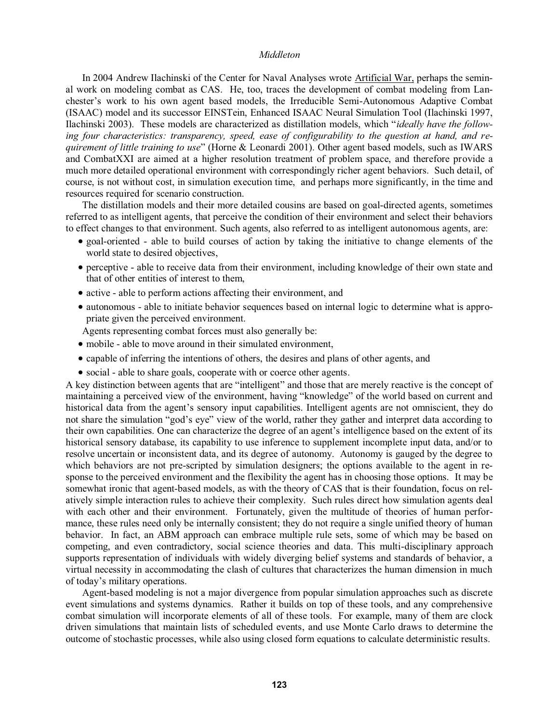In 2004 Andrew Ilachinski of the Center for Naval Analyses wrote Artificial War, perhaps the seminal work on modeling combat as CAS. He, too, traces the development of combat modeling from Lanchester's work to his own agent based models, the Irreducible Semi-Autonomous Adaptive Combat (ISAAC) model and its successor EINSTein, Enhanced ISAAC Neural Simulation Tool (Ilachinski 1997, Ilachinski 2003). These models are characterized as distillation models, which "*ideally have the following four characteristics: transparency, speed, ease of configurability to the question at hand, and requirement of little training to use*" (Horne & Leonardi 2001). Other agent based models, such as IWARS and CombatXXI are aimed at a higher resolution treatment of problem space, and therefore provide a much more detailed operational environment with correspondingly richer agent behaviors. Such detail, of course, is not without cost, in simulation execution time, and perhaps more significantly, in the time and resources required for scenario construction.

The distillation models and their more detailed cousins are based on goal-directed agents, sometimes referred to as intelligent agents, that perceive the condition of their environment and select their behaviors to effect changes to that environment. Such agents, also referred to as intelligent autonomous agents, are:

- goal-oriented able to build courses of action by taking the initiative to change elements of the world state to desired objectives,
- perceptive able to receive data from their environment, including knowledge of their own state and that of other entities of interest to them,
- active able to perform actions affecting their environment, and
- autonomous able to initiate behavior sequences based on internal logic to determine what is appropriate given the perceived environment.

Agents representing combat forces must also generally be:

- mobile able to move around in their simulated environment,
- capable of inferring the intentions of others, the desires and plans of other agents, and
- social able to share goals, cooperate with or coerce other agents.

A key distinction between agents that are "intelligent" and those that are merely reactive is the concept of maintaining a perceived view of the environment, having "knowledge" of the world based on current and historical data from the agent's sensory input capabilities. Intelligent agents are not omniscient, they do not share the simulation "god's eye" view of the world, rather they gather and interpret data according to their own capabilities. One can characterize the degree of an agent's intelligence based on the extent of its historical sensory database, its capability to use inference to supplement incomplete input data, and/or to resolve uncertain or inconsistent data, and its degree of autonomy. Autonomy is gauged by the degree to which behaviors are not pre-scripted by simulation designers; the options available to the agent in response to the perceived environment and the flexibility the agent has in choosing those options. It may be somewhat ironic that agent-based models, as with the theory of CAS that is their foundation, focus on relatively simple interaction rules to achieve their complexity. Such rules direct how simulation agents deal with each other and their environment. Fortunately, given the multitude of theories of human performance, these rules need only be internally consistent; they do not require a single unified theory of human behavior. In fact, an ABM approach can embrace multiple rule sets, some of which may be based on competing, and even contradictory, social science theories and data. This multi-disciplinary approach supports representation of individuals with widely diverging belief systems and standards of behavior, a virtual necessity in accommodating the clash of cultures that characterizes the human dimension in much of today's military operations.

Agent-based modeling is not a major divergence from popular simulation approaches such as discrete event simulations and systems dynamics. Rather it builds on top of these tools, and any comprehensive combat simulation will incorporate elements of all of these tools. For example, many of them are clock driven simulations that maintain lists of scheduled events, and use Monte Carlo draws to determine the outcome of stochastic processes, while also using closed form equations to calculate deterministic results.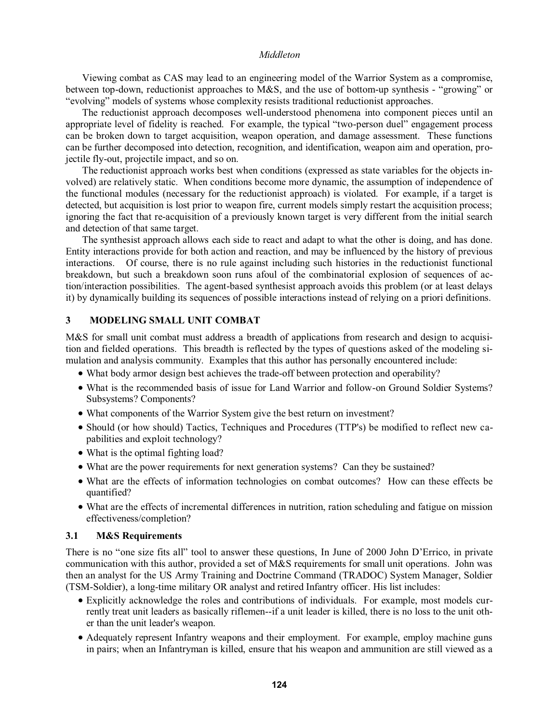Viewing combat as CAS may lead to an engineering model of the Warrior System as a compromise, between top-down, reductionist approaches to M&S, and the use of bottom-up synthesis - "growing" or "evolving" models of systems whose complexity resists traditional reductionist approaches.

The reductionist approach decomposes well-understood phenomena into component pieces until an appropriate level of fidelity is reached. For example, the typical "two-person duel" engagement process can be broken down to target acquisition, weapon operation, and damage assessment. These functions can be further decomposed into detection, recognition, and identification, weapon aim and operation, projectile fly-out, projectile impact, and so on.

The reductionist approach works best when conditions (expressed as state variables for the objects involved) are relatively static. When conditions become more dynamic, the assumption of independence of the functional modules (necessary for the reductionist approach) is violated. For example, if a target is detected, but acquisition is lost prior to weapon fire, current models simply restart the acquisition process; ignoring the fact that re-acquisition of a previously known target is very different from the initial search and detection of that same target.

The synthesist approach allows each side to react and adapt to what the other is doing, and has done. Entity interactions provide for both action and reaction, and may be influenced by the history of previous interactions. Of course, there is no rule against including such histories in the reductionist functional breakdown, but such a breakdown soon runs afoul of the combinatorial explosion of sequences of action/interaction possibilities. The agent-based synthesist approach avoids this problem (or at least delays it) by dynamically building its sequences of possible interactions instead of relying on a priori definitions.

## **3 MODELING SMALL UNIT COMBAT**

M&S for small unit combat must address a breadth of applications from research and design to acquisition and fielded operations. This breadth is reflected by the types of questions asked of the modeling simulation and analysis community. Examples that this author has personally encountered include:

- What body armor design best achieves the trade-off between protection and operability?
- What is the recommended basis of issue for Land Warrior and follow-on Ground Soldier Systems? Subsystems? Components?
- What components of the Warrior System give the best return on investment?
- Should (or how should) Tactics, Techniques and Procedures (TTP's) be modified to reflect new capabilities and exploit technology?
- What is the optimal fighting load?
- What are the power requirements for next generation systems? Can they be sustained?
- What are the effects of information technologies on combat outcomes? How can these effects be quantified?
- What are the effects of incremental differences in nutrition, ration scheduling and fatigue on mission effectiveness/completion?

#### **3.1 M&S Requirements**

There is no "one size fits all" tool to answer these questions, In June of  $2000$  John D'Errico, in private communication with this author, provided a set of M&S requirements for small unit operations. John was then an analyst for the US Army Training and Doctrine Command (TRADOC) System Manager, Soldier (TSM-Soldier), a long-time military OR analyst and retired Infantry officer. His list includes:

- Explicitly acknowledge the roles and contributions of individuals. For example, most models currently treat unit leaders as basically riflemen--if a unit leader is killed, there is no loss to the unit other than the unit leader's weapon.
- Adequately represent Infantry weapons and their employment. For example, employ machine guns in pairs; when an Infantryman is killed, ensure that his weapon and ammunition are still viewed as a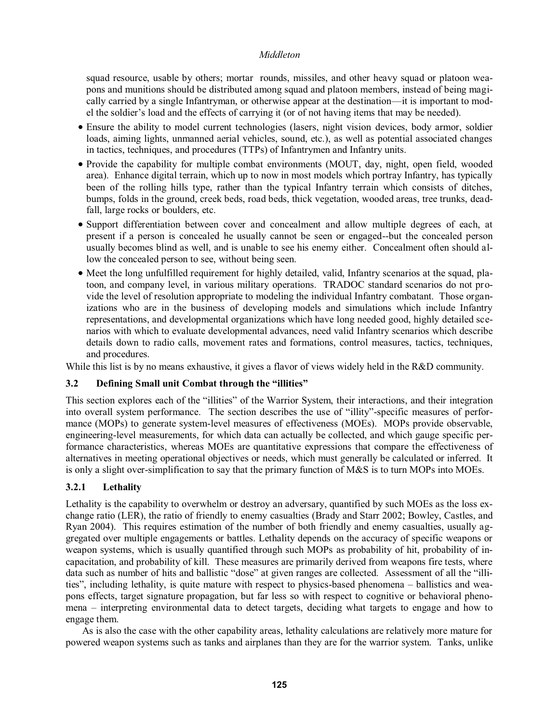squad resource, usable by others; mortar rounds, missiles, and other heavy squad or platoon weapons and munitions should be distributed among squad and platoon members, instead of being magically carried by a single Infantryman, or otherwise appear at the destination~it is important to mod el the soldier's load and the effects of carrying it (or of not having items that may be needed).

- Ensure the ability to model current technologies (lasers, night vision devices, body armor, soldier loads, aiming lights, unmanned aerial vehicles, sound, etc.), as well as potential associated changes in tactics, techniques, and procedures (TTPs) of Infantrymen and Infantry units.
- Provide the capability for multiple combat environments (MOUT, day, night, open field, wooded area). Enhance digital terrain, which up to now in most models which portray Infantry, has typically been of the rolling hills type, rather than the typical Infantry terrain which consists of ditches, bumps, folds in the ground, creek beds, road beds, thick vegetation, wooded areas, tree trunks, deadfall, large rocks or boulders, etc.
- Support differentiation between cover and concealment and allow multiple degrees of each, at present if a person is concealed he usually cannot be seen or engaged--but the concealed person usually becomes blind as well, and is unable to see his enemy either. Concealment often should allow the concealed person to see, without being seen.
- Meet the long unfulfilled requirement for highly detailed, valid, Infantry scenarios at the squad, platoon, and company level, in various military operations. TRADOC standard scenarios do not provide the level of resolution appropriate to modeling the individual Infantry combatant. Those organizations who are in the business of developing models and simulations which include Infantry representations, and developmental organizations which have long needed good, highly detailed scenarios with which to evaluate developmental advances, need valid Infantry scenarios which describe details down to radio calls, movement rates and formations, control measures, tactics, techniques, and procedures.

While this list is by no means exhaustive, it gives a flavor of views widely held in the R&D community.

# 3.2 Defining Small unit Combat through the "illities"

This section explores each of the "illities" of the Warrior System, their interactions, and their integration into overall system performance. The section describes the use of "illity"-specific measures of performance (MOPs) to generate system-level measures of effectiveness (MOEs). MOPs provide observable, engineering-level measurements, for which data can actually be collected, and which gauge specific performance characteristics, whereas MOEs are quantitative expressions that compare the effectiveness of alternatives in meeting operational objectives or needs, which must generally be calculated or inferred. It is only a slight over-simplification to say that the primary function of M&S is to turn MOPs into MOEs.

## **3.2.1 Lethality**

Lethality is the capability to overwhelm or destroy an adversary, quantified by such MOEs as the loss exchange ratio (LER), the ratio of friendly to enemy casualties (Brady and Starr 2002; Bowley, Castles, and Ryan 2004). This requires estimation of the number of both friendly and enemy casualties, usually aggregated over multiple engagements or battles. Lethality depends on the accuracy of specific weapons or weapon systems, which is usually quantified through such MOPs as probability of hit, probability of incapacitation, and probability of kill. These measures are primarily derived from weapons fire tests, where data such as number of hits and ballistic "dose" at given ranges are collected. Assessment of all the "illities", including lethality, is quite mature with respect to physics-based phenomena – ballistics and weapons effects, target signature propagation, but far less so with respect to cognitive or behavioral phenomena – interpreting environmental data to detect targets, deciding what targets to engage and how to engage them.

As is also the case with the other capability areas, lethality calculations are relatively more mature for powered weapon systems such as tanks and airplanes than they are for the warrior system. Tanks, unlike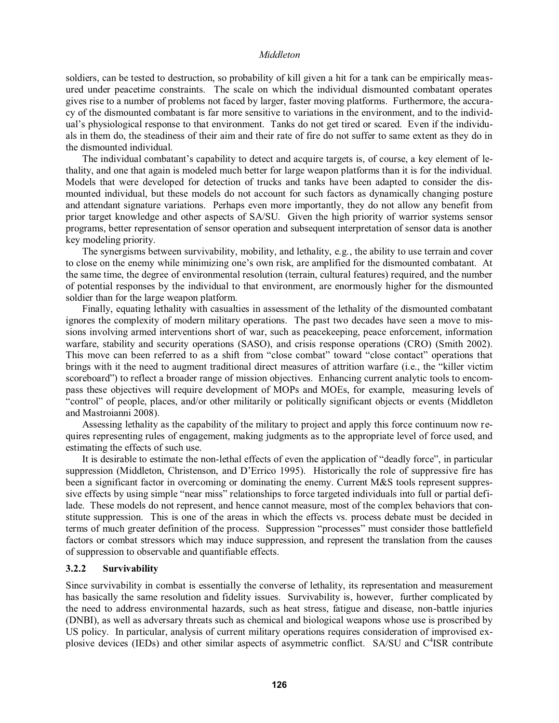soldiers, can be tested to destruction, so probability of kill given a hit for a tank can be empirically measured under peacetime constraints. The scale on which the individual dismounted combatant operates gives rise to a number of problems not faced by larger, faster moving platforms. Furthermore, the accuracy of the dismounted combatant is far more sensitive to variations in the environment, and to the individ ual's physiological response to that environment. Tanks do not get tired or scared. Even if the individuals in them do, the steadiness of their aim and their rate of fire do not suffer to same extent as they do in the dismounted individual.

The individual combatant's capability to detect and acquire targets is, of course, a key element of lethality, and one that again is modeled much better for large weapon platforms than it is for the individual. Models that were developed for detection of trucks and tanks have been adapted to consider the dismounted individual, but these models do not account for such factors as dynamically changing posture and attendant signature variations. Perhaps even more importantly, they do not allow any benefit from prior target knowledge and other aspects of SA/SU. Given the high priority of warrior systems sensor programs, better representation of sensor operation and subsequent interpretation of sensor data is another key modeling priority.

The synergisms between survivability, mobility, and lethality, e.g., the ability to use terrain and cover to close on the enemy while minimizing one's own risk, are amplified for the dismounted combatant. At the same time, the degree of environmental resolution (terrain, cultural features) required, and the number of potential responses by the individual to that environment, are enormously higher for the dismounted soldier than for the large weapon platform.

Finally, equating lethality with casualties in assessment of the lethality of the dismounted combatant ignores the complexity of modern military operations. The past two decades have seen a move to missions involving armed interventions short of war, such as peacekeeping, peace enforcement, information warfare, stability and security operations (SASO), and crisis response operations (CRO) (Smith 2002). This move can been referred to as a shift from "close combat" toward "close contact" operations that brings with it the need to augment traditional direct measures of attrition warfare (i.e., the "killer victim scoreboard") to reflect a broader range of mission objectives. Enhancing current analytic tools to encompass these objectives will require development of MOPs and MOEs, for example, measuring levels of "control" of people, places, and/or other militarily or politically significant objects or events (Middleton and Mastroianni 2008).

Assessing lethality as the capability of the military to project and apply this force continuum now requires representing rules of engagement, making judgments as to the appropriate level of force used, and estimating the effects of such use.

It is desirable to estimate the non-lethal effects of even the application of "deadly force", in particular suppression (Middleton, Christenson, and D'Errico 1995). Historically the role of suppressive fire has been a significant factor in overcoming or dominating the enemy. Current M&S tools represent suppressive effects by using simple "near miss" relationships to force targeted individuals into full or partial defilade. These models do not represent, and hence cannot measure, most of the complex behaviors that constitute suppression. This is one of the areas in which the effects vs. process debate must be decided in terms of much greater definition of the process. Suppression "processes" must consider those battlefield factors or combat stressors which may induce suppression, and represent the translation from the causes of suppression to observable and quantifiable effects.

## **3.2.2 Survivability**

Since survivability in combat is essentially the converse of lethality, its representation and measurement has basically the same resolution and fidelity issues. Survivability is, however, further complicated by the need to address environmental hazards, such as heat stress, fatigue and disease, non-battle injuries (DNBI), as well as adversary threats such as chemical and biological weapons whose use is proscribed by US policy. In particular, analysis of current military operations requires consideration of improvised explosive devices (IEDs) and other similar aspects of asymmetric conflict. SA/SU and C<sup>4</sup>ISR contribute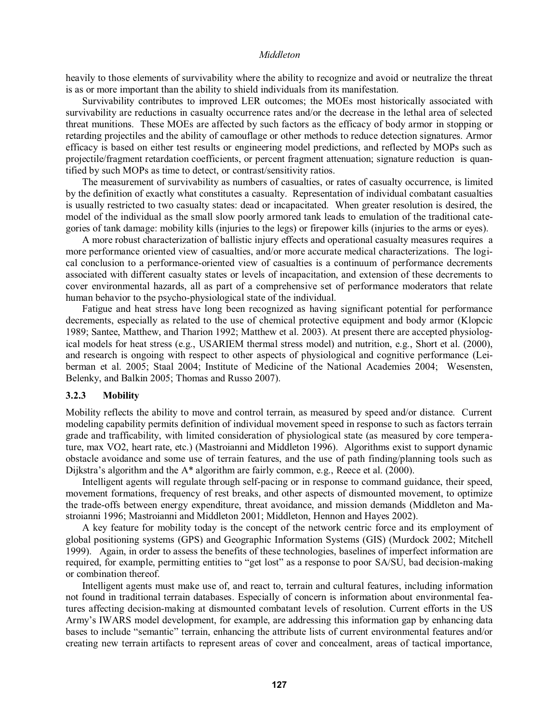heavily to those elements of survivability where the ability to recognize and avoid or neutralize the threat is as or more important than the ability to shield individuals from its manifestation.

Survivability contributes to improved LER outcomes; the MOEs most historically associated with survivability are reductions in casualty occurrence rates and/or the decrease in the lethal area of selected threat munitions. These MOEs are affected by such factors as the efficacy of body armor in stopping or retarding projectiles and the ability of camouflage or other methods to reduce detection signatures. Armor efficacy is based on either test results or engineering model predictions, and reflected by MOPs such as projectile/fragment retardation coefficients, or percent fragment attenuation; signature reduction is quantified by such MOPs as time to detect, or contrast/sensitivity ratios.

The measurement of survivability as numbers of casualties, or rates of casualty occurrence, is limited by the definition of exactly what constitutes a casualty. Representation of individual combatant casualties is usually restricted to two casualty states: dead or incapacitated. When greater resolution is desired, the model of the individual as the small slow poorly armored tank leads to emulation of the traditional categories of tank damage: mobility kills (injuries to the legs) or firepower kills (injuries to the arms or eyes).

A more robust characterization of ballistic injury effects and operational casualty measures requires a more performance oriented view of casualties, and/or more accurate medical characterizations. The logical conclusion to a performance-oriented view of casualties is a continuum of performance decrements associated with different casualty states or levels of incapacitation, and extension of these decrements to cover environmental hazards, all as part of a comprehensive set of performance moderators that relate human behavior to the psycho-physiological state of the individual.

Fatigue and heat stress have long been recognized as having significant potential for performance decrements, especially as related to the use of chemical protective equipment and body armor (Klopcic 1989; Santee, Matthew, and Tharion 1992; Matthew et al. 2003). At present there are accepted physiological models for heat stress (e.g., USARIEM thermal stress model) and nutrition, e.g., Short et al. (2000), and research is ongoing with respect to other aspects of physiological and cognitive performance (Leiberman et al. 2005; Staal 2004; Institute of Medicine of the National Academies 2004; Wesensten, Belenky, and Balkin 2005; Thomas and Russo 2007).

#### **3.2.3 Mobility**

Mobility reflects the ability to move and control terrain, as measured by speed and/or distance. Current modeling capability permits definition of individual movement speed in response to such as factors terrain grade and trafficability, with limited consideration of physiological state (as measured by core temperature, max VO2, heart rate, etc.) (Mastroianni and Middleton 1996). Algorithms exist to support dynamic obstacle avoidance and some use of terrain features, and the use of path finding/planning tools such as Dijkstra's algorithm and the A\* algorithm are fairly common, e.g., Reece et al. (2000).

 Intelligent agents will regulate through self-pacing or in response to command guidance, their speed, movement formations, frequency of rest breaks, and other aspects of dismounted movement, to optimize the trade-offs between energy expenditure, threat avoidance, and mission demands (Middleton and Mastroianni 1996; Mastroianni and Middleton 2001; Middleton, Hennon and Hayes 2002).

A key feature for mobility today is the concept of the network centric force and its employment of global positioning systems (GPS) and Geographic Information Systems (GIS) (Murdock 2002; Mitchell 1999). Again, in order to assess the benefits of these technologies, baselines of imperfect information are required, for example, permitting entities to "get lost" as a response to poor SA/SU, bad decision-making or combination thereof.

Intelligent agents must make use of, and react to, terrain and cultural features, including information not found in traditional terrain databases. Especially of concern is information about environmental features affecting decision-making at dismounted combatant levels of resolution. Current efforts in the US Army's IWARS model development, for example, are addressing this information gap by enhancing data bases to include "semantic" terrain, enhancing the attribute lists of current environmental features and/or creating new terrain artifacts to represent areas of cover and concealment, areas of tactical importance,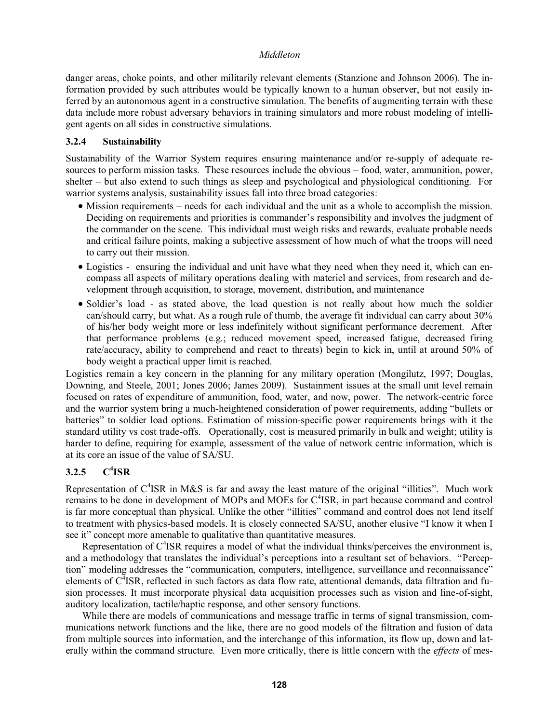danger areas, choke points, and other militarily relevant elements (Stanzione and Johnson 2006). The information provided by such attributes would be typically known to a human observer, but not easily inferred by an autonomous agent in a constructive simulation. The benefits of augmenting terrain with these data include more robust adversary behaviors in training simulators and more robust modeling of intelligent agents on all sides in constructive simulations.

## **3.2.4 Sustainability**

Sustainability of the Warrior System requires ensuring maintenance and/or re-supply of adequate resources to perform mission tasks. These resources include the obvious - food, water, ammunition, power, shelter  $-$  but also extend to such things as sleep and psychological and physiological conditioning. For warrior systems analysis, sustainability issues fall into three broad categories:

- Mission requirements needs for each individual and the unit as a whole to accomplish the mission. Deciding on requirements and priorities is commander's responsibility and involves the judgment of the commander on the scene. This individual must weigh risks and rewards, evaluate probable needs and critical failure points, making a subjective assessment of how much of what the troops will need to carry out their mission.
- Logistics ensuring the individual and unit have what they need when they need it, which can encompass all aspects of military operations dealing with materiel and services, from research and development through acquisition, to storage, movement, distribution, and maintenance
- Soldier's load as stated above, the load question is not really about how much the soldier can/should carry, but what. As a rough rule of thumb, the average fit individual can carry about 30% of his/her body weight more or less indefinitely without significant performance decrement. After that performance problems (e.g.; reduced movement speed, increased fatigue, decreased firing rate/accuracy, ability to comprehend and react to threats) begin to kick in, until at around 50% of body weight a practical upper limit is reached.

Logistics remain a key concern in the planning for any military operation (Mongilutz, 1997; Douglas, Downing, and Steele, 2001; Jones 2006; James 2009). Sustainment issues at the small unit level remain focused on rates of expenditure of ammunition, food, water, and now, power. The network-centric force and the warrior system bring a much-heightened consideration of power requirements, adding "bullets or batteries" to soldier load options. Estimation of mission-specific power requirements brings with it the standard utility vs cost trade-offs. Operationally, cost is measured primarily in bulk and weight; utility is harder to define, requiring for example, assessment of the value of network centric information, which is at its core an issue of the value of SA/SU.

#### **3.2.5 C4**  $C^4$ **ISR**

Representation of  $C^4$ ISR in M&S is far and away the least mature of the original "illities". Much work remains to be done in development of MOPs and MOEs for C<sup>4</sup>ISR, in part because command and control is far more conceptual than physical. Unlike the other "illities" command and control does not lend itself to treatment with physics-based models. It is closely connected SA/SU, another elusive "I know it when I see it" concept more amenable to qualitative than quantitative measures.

Representation of  $C<sup>4</sup>ISR$  requires a model of what the individual thinks/perceives the environment is, and a methodology that translates the individual's perceptions into a resultant set of behaviors. "Perception" modeling addresses the "communication, computers, intelligence, surveillance and reconnaissance" elements of C<sup>4</sup>ISR, reflected in such factors as data flow rate, attentional demands, data filtration and fusion processes. It must incorporate physical data acquisition processes such as vision and line-of-sight, auditory localization, tactile/haptic response, and other sensory functions.

While there are models of communications and message traffic in terms of signal transmission, communications network functions and the like, there are no good models of the filtration and fusion of data from multiple sources into information, and the interchange of this information, its flow up, down and laterally within the command structure. Even more critically, there is little concern with the *effects* of mes-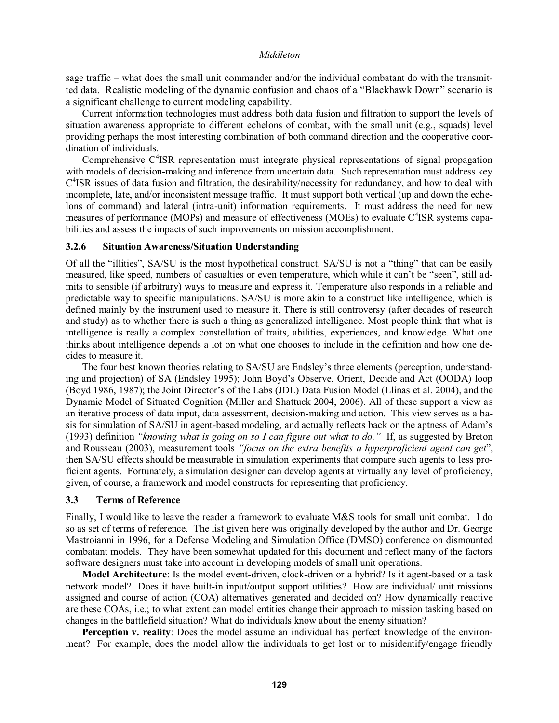sage traffic – what does the small unit commander and/or the individual combatant do with the transmitted data. Realistic modeling of the dynamic confusion and chaos of a "Blackhawk Down" scenario is a significant challenge to current modeling capability.

Current information technologies must address both data fusion and filtration to support the levels of situation awareness appropriate to different echelons of combat, with the small unit (e.g., squads) level providing perhaps the most interesting combination of both command direction and the cooperative coordination of individuals.

Comprehensive  $C<sup>4</sup>ISR$  representation must integrate physical representations of signal propagation with models of decision-making and inference from uncertain data. Such representation must address key C<sup>4</sup>ISR issues of data fusion and filtration, the desirability/necessity for redundancy, and how to deal with incomplete, late, and/or inconsistent message traffic. It must support both vertical (up and down the echelons of command) and lateral (intra-unit) information requirements. It must address the need for new measures of performance (MOPs) and measure of effectiveness (MOEs) to evaluate  $C<sup>4</sup>ISR$  systems capabilities and assess the impacts of such improvements on mission accomplishment.

## **3.2.6 Situation Awareness/Situation Understanding**

Of all the "illities", SA/SU is the most hypothetical construct. SA/SU is not a "thing" that can be easily measured, like speed, numbers of casualties or even temperature, which while it can't be "seen", still admits to sensible (if arbitrary) ways to measure and express it. Temperature also responds in a reliable and predictable way to specific manipulations. SA/SU is more akin to a construct like intelligence, which is defined mainly by the instrument used to measure it. There is still controversy (after decades of research and study) as to whether there is such a thing as generalized intelligence. Most people think that what is intelligence is really a complex constellation of traits, abilities, experiences, and knowledge. What one thinks about intelligence depends a lot on what one chooses to include in the definition and how one decides to measure it.

The four best known theories relating to SA/SU are Endsley's three elements (perception, understanding and projection) of SA (Endsley 1995); John Boyd's Observe, Orient, Decide and Act (OODA) loop (Boyd 1986, 1987); the Joint Director's of the Labs (JDL) Data Fusion Model (Llinas et al. 2004), and the Dynamic Model of Situated Cognition (Miller and Shattuck 2004, 2006). All of these support a view as an iterative process of data input, data assessment, decision-making and action. This view serves as a basis for simulation of SA/SU in agent-based modeling, and actually reflects back on the aptness of Adam's (1993) definition "knowing what is going on so I can figure out what to do." If, as suggested by Breton and Rousseau (2003), measurement tools "focus on the extra benefits a hyperproficient agent can get", then SA/SU effects should be measurable in simulation experiments that compare such agents to less proficient agents. Fortunately, a simulation designer can develop agents at virtually any level of proficiency, given, of course, a framework and model constructs for representing that proficiency.

### **3.3 Terms of Reference**

Finally, I would like to leave the reader a framework to evaluate M&S tools for small unit combat. I do so as set of terms of reference. The list given here was originally developed by the author and Dr. George Mastroianni in 1996, for a Defense Modeling and Simulation Office (DMSO) conference on dismounted combatant models. They have been somewhat updated for this document and reflect many of the factors software designers must take into account in developing models of small unit operations.

**Model Architecture**: Is the model event-driven, clock-driven or a hybrid? Is it agent-based or a task network model? Does it have built-in input/output support utilities? How are individual/ unit missions assigned and course of action (COA) alternatives generated and decided on? How dynamically reactive are these COAs, i.e.; to what extent can model entities change their approach to mission tasking based on changes in the battlefield situation? What do individuals know about the enemy situation?

**Perception v. reality**: Does the model assume an individual has perfect knowledge of the environment? For example, does the model allow the individuals to get lost or to misidentify/engage friendly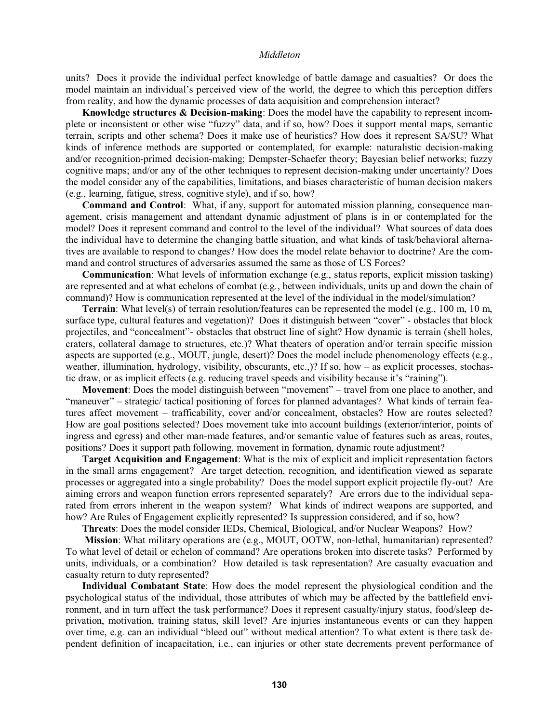units? Does it provide the individual perfect knowledge of battle damage and casualties? Or does the model maintain an individual's perceived view of the world, the degree to which this perception differs from reality, and how the dynamic processes of data acquisition and comprehension interact?

**Knowledge structures & Decision-making**: Does the model have the capability to represent incom plete or inconsistent or other wise "fuzzy" data, and if so, how? Does it support mental maps, semantic terrain, scripts and other schema? Does it make use of heuristics? How does it represent SA/SU? What kinds of inference methods are supported or contemplated, for example: naturalistic decision-making and/or recognition-primed decision-making; Dempster-Schaefer theory; Bayesian belief networks; fuzzy cognitive maps; and/or any of the other techniques to represent decision-making under uncertainty? Does the model consider any of the capabilities, limitations, and biases characteristic of human decision makers (e.g., learning, fatigue, stress, cognitive style), and if so, how?

**Command and Control**: What, if any, support for automated mission planning, consequence management, crisis management and attendant dynamic adjustment of plans is in or contemplated for the model? Does it represent command and control to the level of the individual? What sources of data does the individual have to determine the changing battle situation, and what kinds of task/behavioral alternatives are available to respond to changes? How does the model relate behavior to doctrine? Are the command and control structures of adversaries assumed the same as those of US Forces?

**Communication**: What levels of information exchange (e.g., status reports, explicit mission tasking) are represented and at what echelons of combat (e.g., between individuals, units up and down the chain of command)? How is communication represented at the level of the individual in the model/simulation?

**Terrain**: What level(s) of terrain resolution/features can be represented the model (e.g., 100 m, 10 m, surface type, cultural features and vegetation)? Does it distinguish between "cover" - obstacles that block projectiles, and "concealment"- obstacles that obstruct line of sight? How dynamic is terrain (shell holes, craters, collateral damage to structures, etc.)? What theaters of operation and/or terrain specific mission aspects are supported (e.g., MOUT, jungle, desert)? Does the model include phenomenology effects (e.g., weather, illumination, hydrology, visibility, obscurants, etc.,)? If so, how  $-$  as explicit processes, stochastic draw, or as implicit effects (e.g. reducing travel speeds and visibility because it's "raining").

**Movement**: Does the model distinguish between "movement" – travel from one place to another, and "maneuver" - strategic/ tactical positioning of forces for planned advantages? What kinds of terrain features affect movement – trafficability, cover and/or concealment, obstacles? How are routes selected? How are goal positions selected? Does movement take into account buildings (exterior/interior, points of ingress and egress) and other man-made features, and/or semantic value of features such as areas, routes, positions? Does it support path following, movement in formation, dynamic route adjustment?

**Target Acquisition and Engagement**: What is the mix of explicit and implicit representation factors in the small arms engagement? Are target detection, recognition, and identification viewed as separate processes or aggregated into a single probability? Does the model support explicit projectile fly-out? Are aiming errors and weapon function errors represented separately? Are errors due to the individual separated from errors inherent in the weapon system? What kinds of indirect weapons are supported, and how? Are Rules of Engagement explicitly represented? Is suppression considered, and if so, how?

**Threats**: Does the model consider IEDs, Chemical, Biological, and/or Nuclear Weapons? How?

**Mission**: What military operations are (e.g., MOUT, OOTW, non-lethal, humanitarian) represented? To what level of detail or echelon of command? Are operations broken into discrete tasks? Performed by units, individuals, or a combination? How detailed is task representation? Are casualty evacuation and casualty return to duty represented?

**Individual Combatant State**: How does the model represent the physiological condition and the psychological status of the individual, those attributes of which may be affected by the battlefield environment, and in turn affect the task performance? Does it represent casualty/injury status, food/sleep deprivation, motivation, training status, skill level? Are injuries instantaneous events or can they happen over time, e.g. can an individual "bleed out" without medical attention? To what extent is there task dependent definition of incapacitation, i.e., can injuries or other state decrements prevent performance of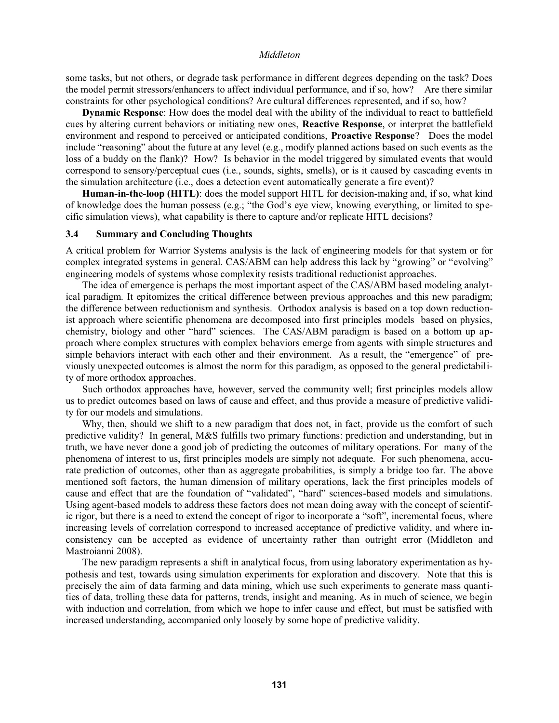some tasks, but not others, or degrade task performance in different degrees depending on the task? Does the model permit stressors/enhancers to affect individual performance, and if so, how? Are there similar constraints for other psychological conditions? Are cultural differences represented, and if so, how?

**Dynamic Response**: How does the model deal with the ability of the individual to react to battlefield cues by altering current behaviors or initiating new ones, **Reactive Response**, or interpret the battlefield environment and respond to perceived or anticipated conditions, **Proactive Response**? Does the model include "reasoning" about the future at any level (e.g., modify planned actions based on such events as the loss of a buddy on the flank)? How? Is behavior in the model triggered by simulated events that would correspond to sensory/perceptual cues (i.e., sounds, sights, smells), or is it caused by cascading events in the simulation architecture (i.e., does a detection event automatically generate a fire event)?

**Human-in-the-loop (HITL)**: does the model support HITL for decision-making and, if so, what kind of knowledge does the human possess (e.g.; "the God's eye view, knowing everything, or limited to specific simulation views), what capability is there to capture and/or replicate HITL decisions?

#### **3.4 Summary and Concluding Thoughts**

A critical problem for Warrior Systems analysis is the lack of engineering models for that system or for complex integrated systems in general. CAS/ABM can help address this lack by "growing" or "evolving" engineering models of systems whose complexity resists traditional reductionist approaches.

The idea of emergence is perhaps the most important aspect of the CAS/ABM based modeling analytical paradigm. It epitomizes the critical difference between previous approaches and this new paradigm; the difference between reductionism and synthesis. Orthodox analysis is based on a top down reductionist approach where scientific phenomena are decomposed into first principles models based on physics, chemistry, biology and other "hard" sciences. The CAS/ABM paradigm is based on a bottom up approach where complex structures with complex behaviors emerge from agents with simple structures and simple behaviors interact with each other and their environment. As a result, the "emergence" of previously unexpected outcomes is almost the norm for this paradigm, as opposed to the general predictability of more orthodox approaches.

Such orthodox approaches have, however, served the community well; first principles models allow us to predict outcomes based on laws of cause and effect, and thus provide a measure of predictive validity for our models and simulations.

Why, then, should we shift to a new paradigm that does not, in fact, provide us the comfort of such predictive validity? In general, M&S fulfills two primary functions: prediction and understanding, but in truth, we have never done a good job of predicting the outcomes of military operations. For many of the phenomena of interest to us, first principles models are simply not adequate. For such phenomena, accurate prediction of outcomes, other than as aggregate probabilities, is simply a bridge too far. The above mentioned soft factors, the human dimension of military operations, lack the first principles models of cause and effect that are the foundation of "validated", "hard" sciences-based models and simulations. Using agent-based models to address these factors does not mean doing away with the concept of scientific rigor, but there is a need to extend the concept of rigor to incorporate a "soft", incremental focus, where increasing levels of correlation correspond to increased acceptance of predictive validity, and where inconsistency can be accepted as evidence of uncertainty rather than outright error (Middleton and Mastroianni 2008).

The new paradigm represents a shift in analytical focus, from using laboratory experimentation as hypothesis and test, towards using simulation experiments for exploration and discovery. Note that this is precisely the aim of data farming and data mining, which use such experiments to generate mass quantities of data, trolling these data for patterns, trends, insight and meaning. As in much of science, we begin with induction and correlation, from which we hope to infer cause and effect, but must be satisfied with increased understanding, accompanied only loosely by some hope of predictive validity.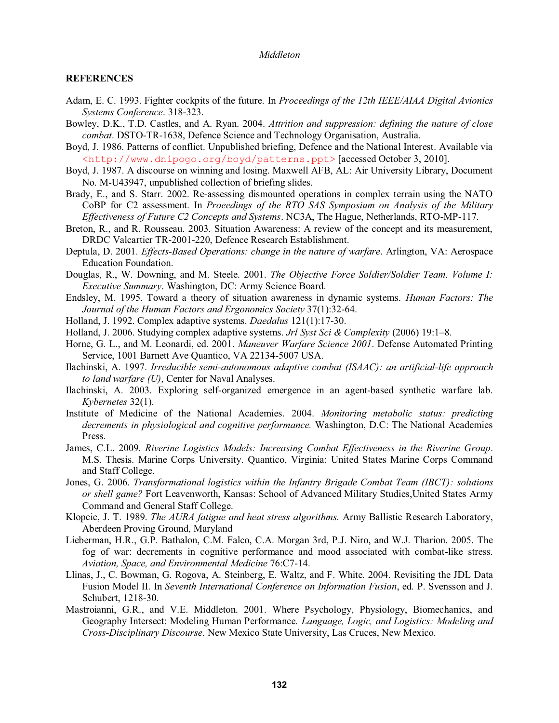#### **REFERENCES**

- Adam, E. C. 1993. Fighter cockpits of the future. In *Proceedings of the 12th IEEE/AIAA Digital Avionics Systems Conference*. 318-323.
- Bowley, D.K., T.D. Castles, and A. Ryan. 2004. *Attrition and suppression: defining the nature of close combat*. DSTO-TR-1638, Defence Science and Technology Organisation, Australia.
- Boyd, J. 1986. Patterns of conflict. Unpublished briefing, Defence and the National Interest. Available via <http://www.dnipogo.org/boyd/patterns.ppt> [accessed October 3, 2010].
- Boyd, J. 1987. A discourse on winning and losing. Maxwell AFB, AL: Air University Library, Document No. M-U43947, unpublished collection of briefing slides.
- Brady, E., and S. Starr. 2002. Re-assessing dismounted operations in complex terrain using the NATO CoBP for C2 assessment. In *Proeedings of the RTO SAS Symposium on Analysis of the Military Effectiveness of Future C2 Concepts and Systems*. NC3A, The Hague, Netherlands, RTO-MP-117.
- Breton, R., and R. Rousseau. 2003. Situation Awareness: A review of the concept and its measurement, DRDC Valcartier TR-2001-220, Defence Research Establishment.
- Deptula, D. 2001. *Effects-Based Operations: change in the nature of warfare*. Arlington, VA: Aerospace Education Foundation.
- Douglas, R., W. Downing, and M. Steele. 2001. *The Objective Force Soldier/Soldier Team. Volume I: Executive Summary*. Washington, DC: Army Science Board.
- Endsley, M. 1995. Toward a theory of situation awareness in dynamic systems. *Human Factors: The Journal of the Human Factors and Ergonomics Society* 37(1):32-64.
- Holland, J. 1992. Complex adaptive systems. *Daedalus* 121(1):17-30.
- Holland, J. 2006. Studying complex adaptive systems. *Jrl Syst Sci & Complexity* (2006) 19:1–8.
- Horne, G. L., and M. Leonardi, ed. 2001. *Maneuver Warfare Science 2001*. Defense Automated Printing Service, 1001 Barnett Ave Quantico, VA 22134-5007 USA.
- Ilachinski, A. 1997. *Irreducible semi-autonomous adaptive combat (ISAAC): an artificial-life approach to land warfare (U)*, Center for Naval Analyses.
- Ilachinski, A. 2003. Exploring self-organized emergence in an agent-based synthetic warfare lab. *Kybernetes* 32(1).
- Institute of Medicine of the National Academies. 2004. *Monitoring metabolic status: predicting decrements in physiological and cognitive performance.* Washington, D.C: The National Academies Press.
- James, C.L. 2009. *Riverine Logistics Models: Increasing Combat Effectiveness in the Riverine Group*. M.S. Thesis. Marine Corps University. Quantico, Virginia: United States Marine Corps Command and Staff College.
- Jones, G. 2006. *Transformational logistics within the Infantry Brigade Combat Team (IBCT): solutions or shell game?* Fort Leavenworth, Kansas: School of Advanced Military Studies,United States Army Command and General Staff College.
- Klopcic, J. T. 1989. *The AURA fatigue and heat stress algorithms.* Army Ballistic Research Laboratory, Aberdeen Proving Ground, Maryland
- Lieberman, H.R., G.P. Bathalon, C.M. Falco, C.A. Morgan 3rd, P.J. Niro, and W.J. Tharion. 2005. The fog of war: decrements in cognitive performance and mood associated with combat-like stress. *Aviation, Space, and Environmental Medicine* 76:C7-14.
- Llinas, J., C. Bowman, G. Rogova, A. Steinberg, E. Waltz, and F. White. 2004. Revisiting the JDL Data Fusion Model II. In *Seventh International Conference on Information Fusion*, ed. P. Svensson and J. Schubert, 1218-30.
- Mastroianni, G.R., and V.E. Middleton. 2001. Where Psychology, Physiology, Biomechanics, and Geography Intersect: Modeling Human Performance. *Language, Logic, and Logistics: Modeling and Cross-Disciplinary Discourse*. New Mexico State University, Las Cruces, New Mexico.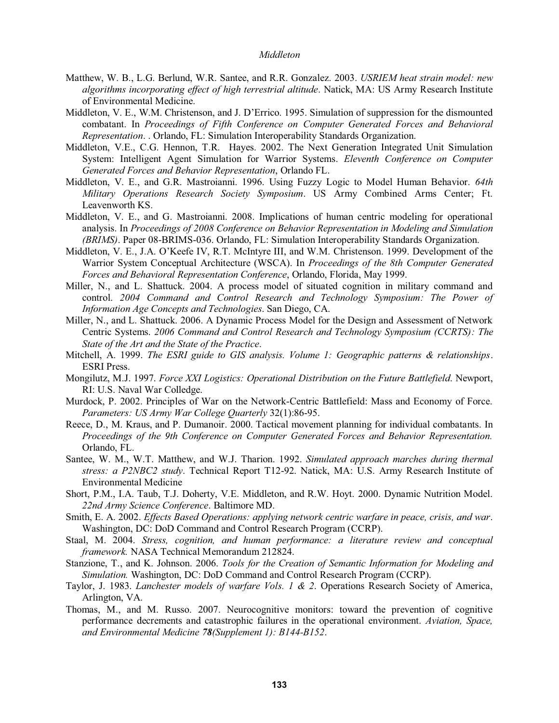- Matthew, W. B., L.G. Berlund, W.R. Santee, and R.R. Gonzalez. 2003. *USRIEM heat strain model: new algorithms incorporating effect of high terrestrial altitude*. Natick, MA: US Army Research Institute of Environmental Medicine.
- Middleton, V. E., W.M. Christenson, and J. D'Errico. 1995. Simulation of suppression for the dismounted combatant. In *Proceedings of Fifth Conference on Computer Generated Forces and Behavioral Representation*. . Orlando, FL: Simulation Interoperability Standards Organization.
- Middleton, V.E., C.G. Hennon, T.R. Hayes. 2002. The Next Generation Integrated Unit Simulation System: Intelligent Agent Simulation for Warrior Systems. *Eleventh Conference on Computer Generated Forces and Behavior Representation*, Orlando FL.
- Middleton, V. E., and G.R. Mastroianni. 1996. Using Fuzzy Logic to Model Human Behavior. *64th Military Operations Research Society Symposium*. US Army Combined Arms Center; Ft. Leavenworth KS.
- Middleton, V. E., and G. Mastroianni. 2008. Implications of human centric modeling for operational analysis. In *Proceedings of 2008 Conference on Behavior Representation in Modeling and Simulation (BRIMS)*. Paper 08-BRIMS-036. Orlando, FL: Simulation Interoperability Standards Organization.
- Middleton, V. E., J.A. O'Keefe IV, R.T. McIntyre III, and W.M. Christenson. 1999. Development of the Warrior System Conceptual Architecture (WSCA). In *Proceedings of the 8th Computer Generated Forces and Behavioral Representation Conference*, Orlando, Florida, May 1999.
- Miller, N., and L. Shattuck. 2004. A process model of situated cognition in military command and control. *2004 Command and Control Research and Technology Symposium: The Power of Information Age Concepts and Technologies*. San Diego, CA.
- Miller, N., and L. Shattuck. 2006. A Dynamic Process Model for the Design and Assessment of Network Centric Systems. *2006 Command and Control Research and Technology Symposium (CCRTS): The State of the Art and the State of the Practice*.
- Mitchell, A. 1999. *The ESRI guide to GIS analysis. Volume 1: Geographic patterns & relationships*. ESRI Press.
- Mongilutz, M.J. 1997. *Force XXI Logistics: Operational Distribution on the Future Battlefield*. Newport, RI: U.S. Naval War Colledge.
- Murdock, P. 2002. Principles of War on the Network-Centric Battlefield: Mass and Economy of Force. *Parameters: US Army War College Quarterly* 32(1):86-95.
- Reece, D., M. Kraus, and P. Dumanoir. 2000. Tactical movement planning for individual combatants. In *Proceedings of the 9th Conference on Computer Generated Forces and Behavior Representation.*  Orlando, FL.
- Santee, W. M., W.T. Matthew, and W.J. Tharion. 1992. *Simulated approach marches during thermal stress: a P2NBC2 study*. Technical Report T12-92. Natick, MA: U.S. Army Research Institute of Environmental Medicine
- Short, P.M., I.A. Taub, T.J. Doherty, V.E. Middleton, and R.W. Hoyt. 2000. Dynamic Nutrition Model. *22nd Army Science Conference*. Baltimore MD.
- Smith, E. A. 2002. *Effects Based Operations: applying network centric warfare in peace, crisis, and war*. Washington, DC: DoD Command and Control Research Program (CCRP).
- Staal, M. 2004. *Stress, cognition, and human performance: a literature review and conceptual framework.* NASA Technical Memorandum 212824.
- Stanzione, T., and K. Johnson. 2006. *Tools for the Creation of Semantic Information for Modeling and Simulation.* Washington, DC: DoD Command and Control Research Program (CCRP).
- Taylor, J. 1983. *Lanchester models of warfare Vols. 1 & 2*. Operations Research Society of America, Arlington, VA.
- Thomas, M., and M. Russo. 2007. Neurocognitive monitors: toward the prevention of cognitive performance decrements and catastrophic failures in the operational environment. *Aviation, Space, and Environmental Medicine 78(Supplement 1): B144-B152*.